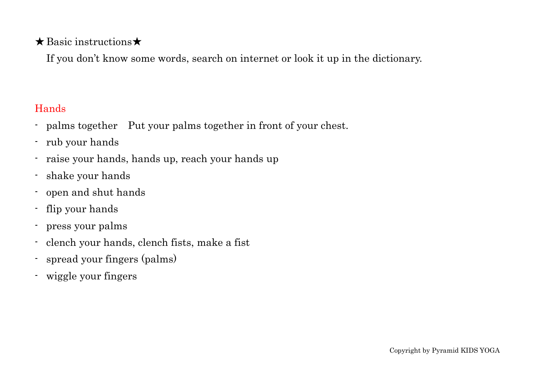#### ★Basic instructions★

If you don't know some words, search on internet or look it up in the dictionary.

### Hands

- palms together Put your palms together in front of your chest.
- rub your hands
- raise your hands, hands up, reach your hands up
- shake your hands
- open and shut hands
- flip your hands
- press your palms
- clench your hands, clench fists, make a fist
- spread your fingers (palms)
- wiggle your fingers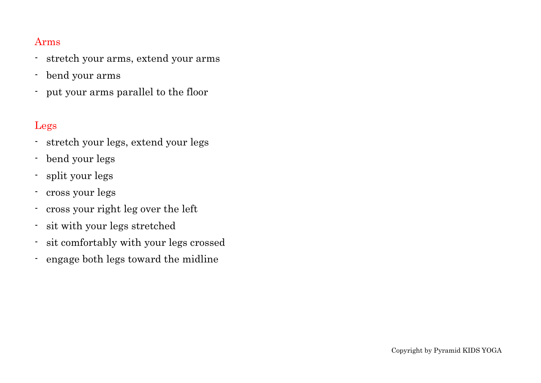#### Arms

- stretch your arms, extend your arms
- bend your arms
- put your arms parallel to the floor

#### Legs

- stretch your legs, extend your legs
- bend your legs
- split your legs
- cross your legs
- cross your right leg over the left
- sit with your legs stretched
- sit comfortably with your legs crossed
- engage both legs toward the midline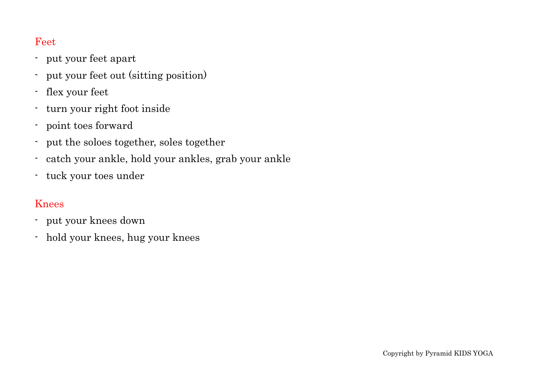#### Feet

- put your feet apart
- put your feet out (sitting position)
- flex your feet
- turn your right foot inside
- point toes forward
- put the soloes together, soles together
- catch your ankle, hold your ankles, grab your ankle
- tuck your toes under

#### Knees

- put your knees down
- hold your knees, hug your knees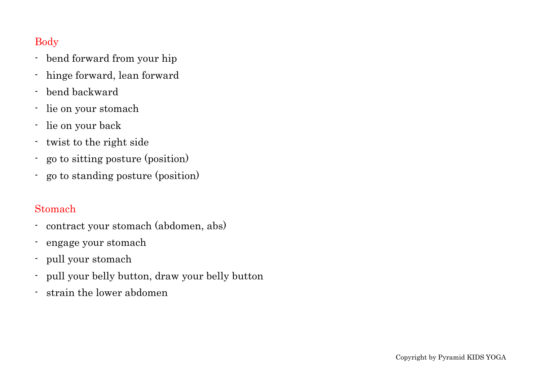### Body

- bend forward from your hip
- hinge forward, lean forward
- bend backward
- lie on your stomach
- lie on your back
- twist to the right side
- go to sitting posture (position)
- go to standing posture (position)

#### Stomach

- contract your stomach (abdomen, abs)
- engage your stomach
- pull your stomach
- pull your belly button, draw your belly button
- strain the lower abdomen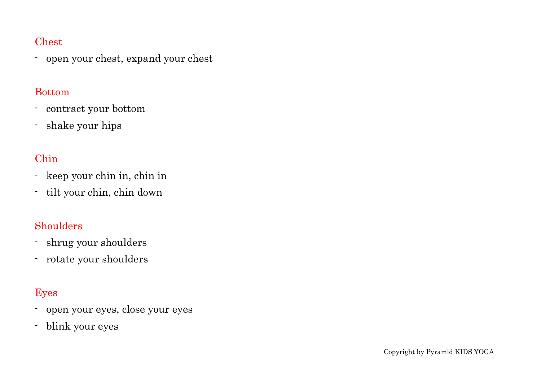#### Chest

- open your chest, expand your chest

#### Bottom

- contract your bottom
- shake your hips

# Chin

- keep your chin in, chin in
- tilt your chin, chin down

### **Shoulders**

- shrug your shoulders
- rotate your shoulders

# Eyes

- open your eyes, close your eyes
- blink your eyes